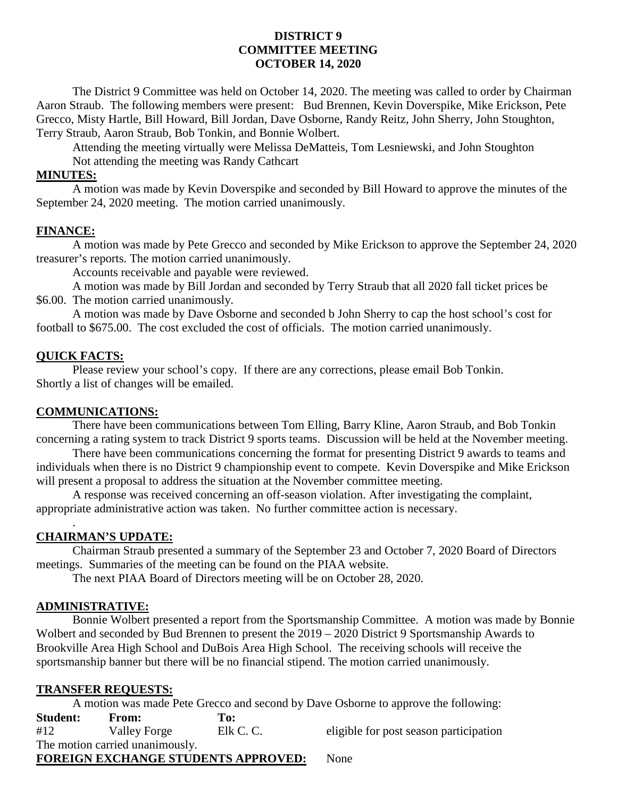## **DISTRICT 9 COMMITTEE MEETING OCTOBER 14, 2020**

The District 9 Committee was held on October 14, 2020. The meeting was called to order by Chairman Aaron Straub. The following members were present: Bud Brennen, Kevin Doverspike, Mike Erickson, Pete Grecco, Misty Hartle, Bill Howard, Bill Jordan, Dave Osborne, Randy Reitz, John Sherry, John Stoughton, Terry Straub, Aaron Straub, Bob Tonkin, and Bonnie Wolbert.

Attending the meeting virtually were Melissa DeMatteis, Tom Lesniewski, and John Stoughton Not attending the meeting was Randy Cathcart

### **MINUTES:**

A motion was made by Kevin Doverspike and seconded by Bill Howard to approve the minutes of the September 24, 2020 meeting. The motion carried unanimously.

### **FINANCE:**

A motion was made by Pete Grecco and seconded by Mike Erickson to approve the September 24, 2020 treasurer's reports. The motion carried unanimously.

Accounts receivable and payable were reviewed.

A motion was made by Bill Jordan and seconded by Terry Straub that all 2020 fall ticket prices be \$6.00. The motion carried unanimously.

A motion was made by Dave Osborne and seconded b John Sherry to cap the host school's cost for football to \$675.00. The cost excluded the cost of officials. The motion carried unanimously.

### **QUICK FACTS:**

Please review your school's copy. If there are any corrections, please email Bob Tonkin. Shortly a list of changes will be emailed.

### **COMMUNICATIONS:**

There have been communications between Tom Elling, Barry Kline, Aaron Straub, and Bob Tonkin concerning a rating system to track District 9 sports teams. Discussion will be held at the November meeting.

There have been communications concerning the format for presenting District 9 awards to teams and individuals when there is no District 9 championship event to compete. Kevin Doverspike and Mike Erickson will present a proposal to address the situation at the November committee meeting.

A response was received concerning an off-season violation. After investigating the complaint, appropriate administrative action was taken. No further committee action is necessary.

#### **CHAIRMAN'S UPDATE:**

.

Chairman Straub presented a summary of the September 23 and October 7, 2020 Board of Directors meetings. Summaries of the meeting can be found on the PIAA website.

The next PIAA Board of Directors meeting will be on October 28, 2020.

#### **ADMINISTRATIVE:**

Bonnie Wolbert presented a report from the Sportsmanship Committee. A motion was made by Bonnie Wolbert and seconded by Bud Brennen to present the 2019 – 2020 District 9 Sportsmanship Awards to Brookville Area High School and DuBois Area High School. The receiving schools will receive the sportsmanship banner but there will be no financial stipend. The motion carried unanimously.

### **TRANSFER REQUESTS:**

A motion was made Pete Grecco and second by Dave Osborne to approve the following:

| <b>Student:</b>                            | From:                           | To:       |                                        |
|--------------------------------------------|---------------------------------|-----------|----------------------------------------|
| #12                                        | Valley Forge                    | Elk C. C. | eligible for post season participation |
|                                            | The motion carried unanimously. |           |                                        |
| <b>FOREIGN EXCHANGE STUDENTS APPROVED:</b> |                                 |           | None                                   |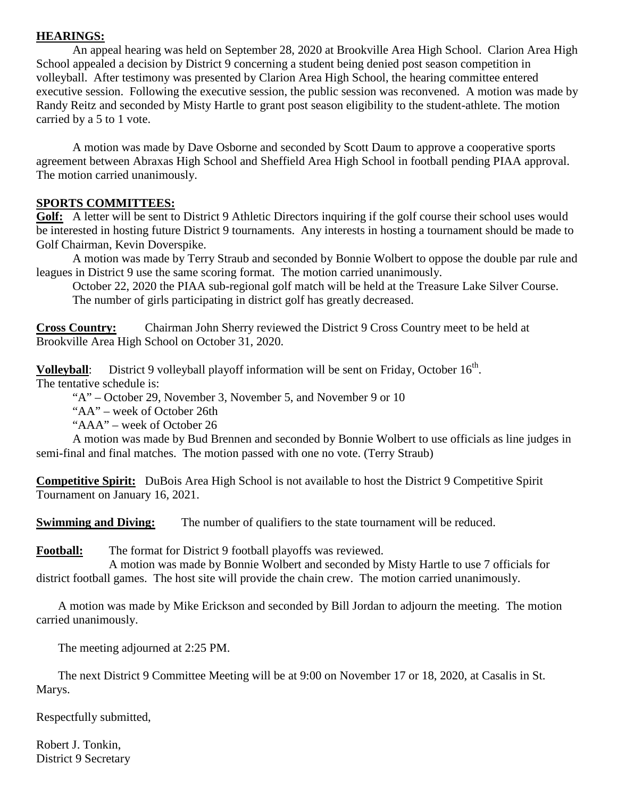# **HEARINGS:**

An appeal hearing was held on September 28, 2020 at Brookville Area High School. Clarion Area High School appealed a decision by District 9 concerning a student being denied post season competition in volleyball. After testimony was presented by Clarion Area High School, the hearing committee entered executive session. Following the executive session, the public session was reconvened. A motion was made by Randy Reitz and seconded by Misty Hartle to grant post season eligibility to the student-athlete. The motion carried by a 5 to 1 vote.

A motion was made by Dave Osborne and seconded by Scott Daum to approve a cooperative sports agreement between Abraxas High School and Sheffield Area High School in football pending PIAA approval. The motion carried unanimously.

# **SPORTS COMMITTEES:**

Golf: A letter will be sent to District 9 Athletic Directors inquiring if the golf course their school uses would be interested in hosting future District 9 tournaments. Any interests in hosting a tournament should be made to Golf Chairman, Kevin Doverspike.

A motion was made by Terry Straub and seconded by Bonnie Wolbert to oppose the double par rule and leagues in District 9 use the same scoring format. The motion carried unanimously.

October 22, 2020 the PIAA sub-regional golf match will be held at the Treasure Lake Silver Course. The number of girls participating in district golf has greatly decreased.

**Cross Country:** Chairman John Sherry reviewed the District 9 Cross Country meet to be held at Brookville Area High School on October 31, 2020.

**Volleyball** The tentative schedule is: District 9 volleyball playoff information will be sent on Friday, October  $16<sup>th</sup>$ .

"A" – October 29, November 3, November 5, and November 9 or 10

"AA" – week of October 26th

"AAA" – week of October 26

A motion was made by Bud Brennen and seconded by Bonnie Wolbert to use officials as line judges in semi-final and final matches. The motion passed with one no vote. (Terry Straub)

**Competitive Spirit:** DuBois Area High School is not available to host the District 9 Competitive Spirit Tournament on January 16, 2021.

**Swimming and Diving:** The number of qualifiers to the state tournament will be reduced.

**Football:** The format for District 9 football playoffs was reviewed.

A motion was made by Bonnie Wolbert and seconded by Misty Hartle to use 7 officials for district football games. The host site will provide the chain crew. The motion carried unanimously.

A motion was made by Mike Erickson and seconded by Bill Jordan to adjourn the meeting. The motion carried unanimously.

The meeting adjourned at 2:25 PM.

The next District 9 Committee Meeting will be at 9:00 on November 17 or 18, 2020, at Casalis in St. Marys.

Respectfully submitted,

Robert J. Tonkin, District 9 Secretary